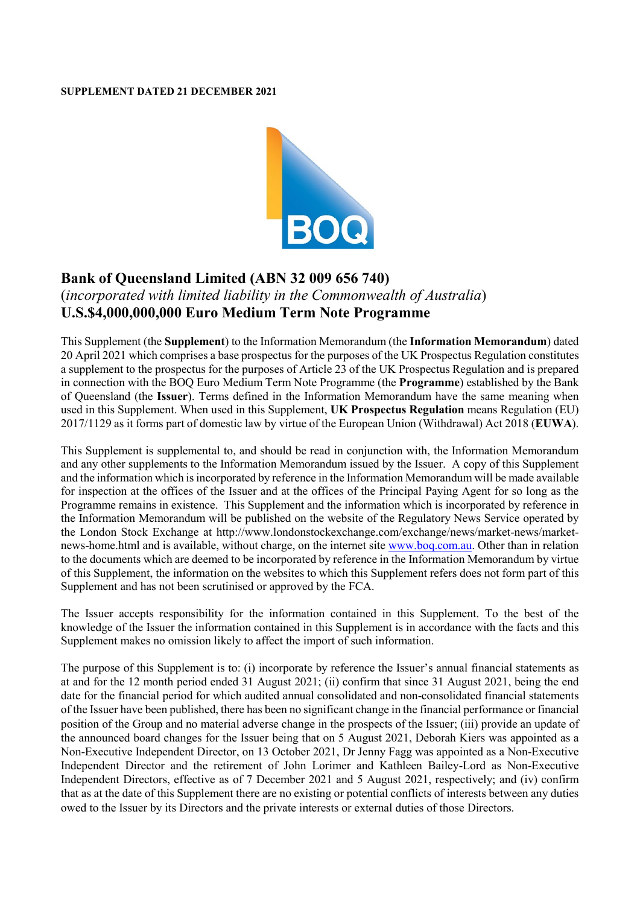#### **SUPPLEMENT DATED 21 DECEMBER 2021**



# **Bank of Queensland Limited (ABN 32 009 656 740)** (*incorporated with limited liability in the Commonwealth of Australia*) **U.S.\$4,000,000,000 Euro Medium Term Note Programme**

This Supplement (the **Supplement**) to the Information Memorandum (the **Information Memorandum**) dated 20 April 2021 which comprises a base prospectus for the purposes of the UK Prospectus Regulation constitutes a supplement to the prospectus for the purposes of Article 23 of the UK Prospectus Regulation and is prepared in connection with the BOQ Euro Medium Term Note Programme (the **Programme**) established by the Bank of Queensland (the **Issuer**). Terms defined in the Information Memorandum have the same meaning when used in this Supplement. When used in this Supplement, **UK Prospectus Regulation** means Regulation (EU) 2017/1129 as it forms part of domestic law by virtue of the European Union (Withdrawal) Act 2018 (**EUWA**).

This Supplement is supplemental to, and should be read in conjunction with, the Information Memorandum and any other supplements to the Information Memorandum issued by the Issuer. A copy of this Supplement and the information which is incorporated by reference in the Information Memorandum will be made available for inspection at the offices of the Issuer and at the offices of the Principal Paying Agent for so long as the Programme remains in existence. This Supplement and the information which is incorporated by reference in the Information Memorandum will be published on the website of the Regulatory News Service operated by the London Stock Exchange at [http://www.londonstockexchange.com/exchange/news/market-news/market](http://www.londonstockexchange.com/exchange/news/market-news/market-news-home.html)[news-home.html](http://www.londonstockexchange.com/exchange/news/market-news/market-news-home.html) and is available, without charge, on the internet site [www.boq.com.au.](http://www.boq.com.au/) Other than in relation to the documents which are deemed to be incorporated by reference in the Information Memorandum by virtue of this Supplement, the information on the websites to which this Supplement refers does not form part of this Supplement and has not been scrutinised or approved by the FCA.

The Issuer accepts responsibility for the information contained in this Supplement. To the best of the knowledge of the Issuer the information contained in this Supplement is in accordance with the facts and this Supplement makes no omission likely to affect the import of such information.

The purpose of this Supplement is to: (i) incorporate by reference the Issuer's annual financial statements as at and for the 12 month period ended 31 August 2021; (ii) confirm that since 31 August 2021, being the end date for the financial period for which audited annual consolidated and non-consolidated financial statements of the Issuer have been published, there has been no significant change in the financial performance or financial position of the Group and no material adverse change in the prospects of the Issuer; (iii) provide an update of the announced board changes for the Issuer being that on 5 August 2021, Deborah Kiers was appointed as a Non-Executive Independent Director, on 13 October 2021, Dr Jenny Fagg was appointed as a Non-Executive Independent Director and the retirement of John Lorimer and Kathleen Bailey-Lord as Non-Executive Independent Directors, effective as of 7 December 2021 and 5 August 2021, respectively; and (iv) confirm that as at the date of this Supplement there are no existing or potential conflicts of interests between any duties owed to the Issuer by its Directors and the private interests or external duties of those Directors.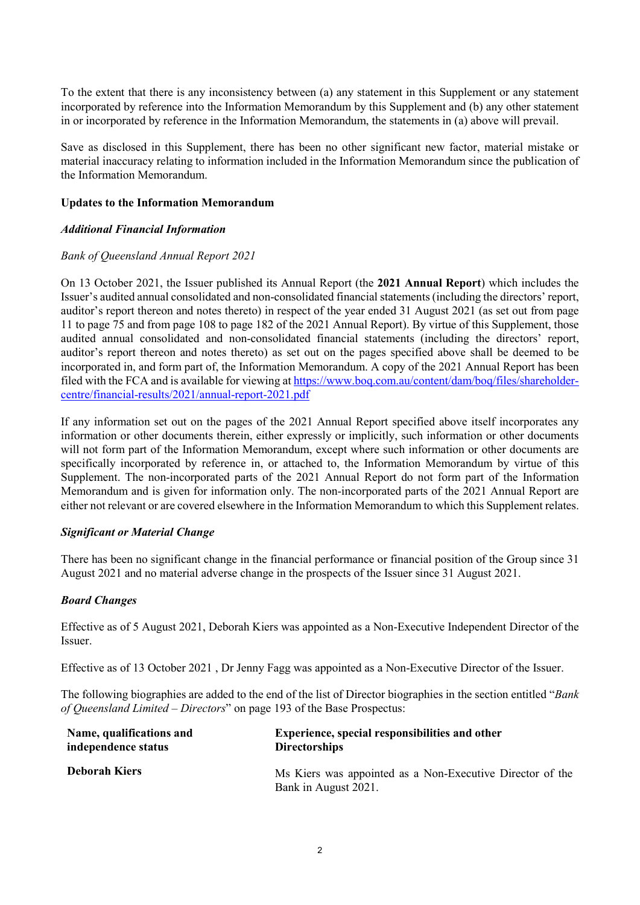To the extent that there is any inconsistency between (a) any statement in this Supplement or any statement incorporated by reference into the Information Memorandum by this Supplement and (b) any other statement in or incorporated by reference in the Information Memorandum, the statements in (a) above will prevail.

Save as disclosed in this Supplement, there has been no other significant new factor, material mistake or material inaccuracy relating to information included in the Information Memorandum since the publication of the Information Memorandum.

#### **Updates to the Information Memorandum**

## *Additional Financial Information*

## *Bank of Queensland Annual Report 2021*

On 13 October 2021, the Issuer published its Annual Report (the **2021 Annual Report**) which includes the Issuer's audited annual consolidated and non-consolidated financial statements (including the directors' report, auditor's report thereon and notes thereto) in respect of the year ended 31 August 2021 (as set out from page 11 to page 75 and from page 108 to page 182 of the 2021 Annual Report). By virtue of this Supplement, those audited annual consolidated and non-consolidated financial statements (including the directors' report, auditor's report thereon and notes thereto) as set out on the pages specified above shall be deemed to be incorporated in, and form part of, the Information Memorandum. A copy of the 2021 Annual Report has been filed with the FCA and is available for viewing at [https://www.boq.com.au/content/dam/boq/files/shareholder](https://www.boq.com.au/content/dam/boq/files/shareholder-centre/financial-results/2021/annual-report-2021.pdf)[centre/financial-results/2021/annual-report-2021.pdf](https://www.boq.com.au/content/dam/boq/files/shareholder-centre/financial-results/2021/annual-report-2021.pdf)

If any information set out on the pages of the 2021 Annual Report specified above itself incorporates any information or other documents therein, either expressly or implicitly, such information or other documents will not form part of the Information Memorandum, except where such information or other documents are specifically incorporated by reference in, or attached to, the Information Memorandum by virtue of this Supplement. The non-incorporated parts of the 2021 Annual Report do not form part of the Information Memorandum and is given for information only. The non-incorporated parts of the 2021 Annual Report are either not relevant or are covered elsewhere in the Information Memorandum to which this Supplement relates.

#### *Significant or Material Change*

There has been no significant change in the financial performance or financial position of the Group since 31 August 2021 and no material adverse change in the prospects of the Issuer since 31 August 2021.

# *Board Changes*

Effective as of 5 August 2021, Deborah Kiers was appointed as a Non-Executive Independent Director of the Issuer.

Effective as of 13 October 2021 , Dr Jenny Fagg was appointed as a Non-Executive Director of the Issuer.

The following biographies are added to the end of the list of Director biographies in the section entitled "*Bank of Queensland Limited – Directors*" on page 193 of the Base Prospectus:

| Name, qualifications and | Experience, special responsibilities and other                                    |
|--------------------------|-----------------------------------------------------------------------------------|
| independence status      | <b>Directorships</b>                                                              |
| <b>Deborah Kiers</b>     | Ms Kiers was appointed as a Non-Executive Director of the<br>Bank in August 2021. |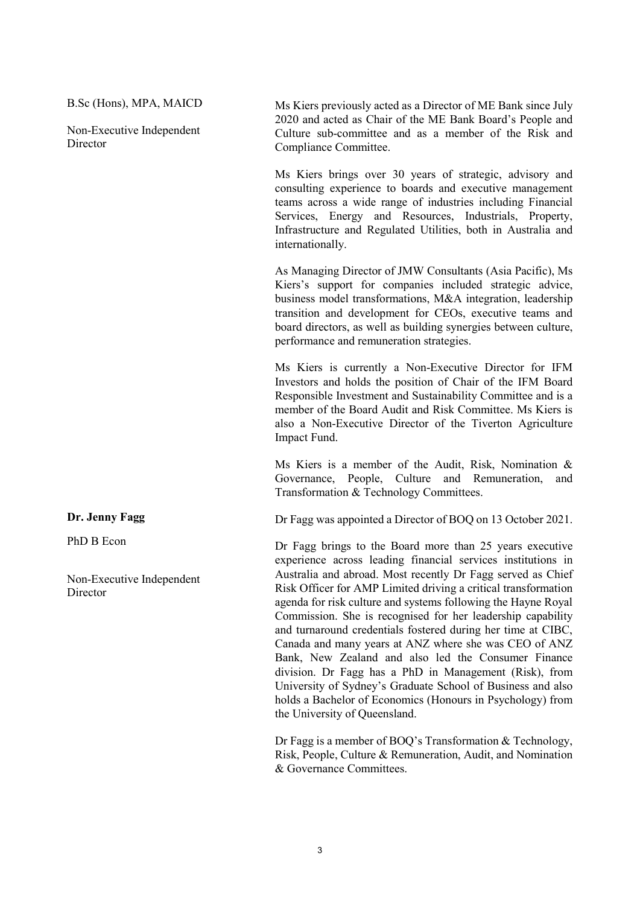B.Sc (Hons), MPA, MAICD

Non-Executive Independent **Director** 

**Dr. Jenny Fagg**

PhD B Econ

Non-Executive Independent **Director** 

Ms Kiers previously acted as a Director of ME Bank since July 2020 and acted as Chair of the ME Bank Board's People and Culture sub-committee and as a member of the Risk and Compliance Committee.

Ms Kiers brings over 30 years of strategic, advisory and consulting experience to boards and executive management teams across a wide range of industries including Financial Services, Energy and Resources, Industrials, Property, Infrastructure and Regulated Utilities, both in Australia and internationally.

As Managing Director of JMW Consultants (Asia Pacific), Ms Kiers's support for companies included strategic advice, business model transformations, M&A integration, leadership transition and development for CEOs, executive teams and board directors, as well as building synergies between culture, performance and remuneration strategies.

Ms Kiers is currently a Non-Executive Director for IFM Investors and holds the position of Chair of the IFM Board Responsible Investment and Sustainability Committee and is a member of the Board Audit and Risk Committee. Ms Kiers is also a Non-Executive Director of the Tiverton Agriculture Impact Fund.

Ms Kiers is a member of the Audit, Risk, Nomination & Governance, People, Culture and Remuneration, and Transformation & Technology Committees.

Dr Fagg was appointed a Director of BOQ on 13 October 2021.

Dr Fagg brings to the Board more than 25 years executive experience across leading financial services institutions in Australia and abroad. Most recently Dr Fagg served as Chief Risk Officer for AMP Limited driving a critical transformation agenda for risk culture and systems following the Hayne Royal Commission. She is recognised for her leadership capability and turnaround credentials fostered during her time at CIBC, Canada and many years at ANZ where she was CEO of ANZ Bank, New Zealand and also led the Consumer Finance division. Dr Fagg has a PhD in Management (Risk), from University of Sydney's Graduate School of Business and also holds a Bachelor of Economics (Honours in Psychology) from the University of Queensland.

Dr Fagg is a member of BOQ's Transformation & Technology, Risk, People, Culture & Remuneration, Audit, and Nomination & Governance Committees.